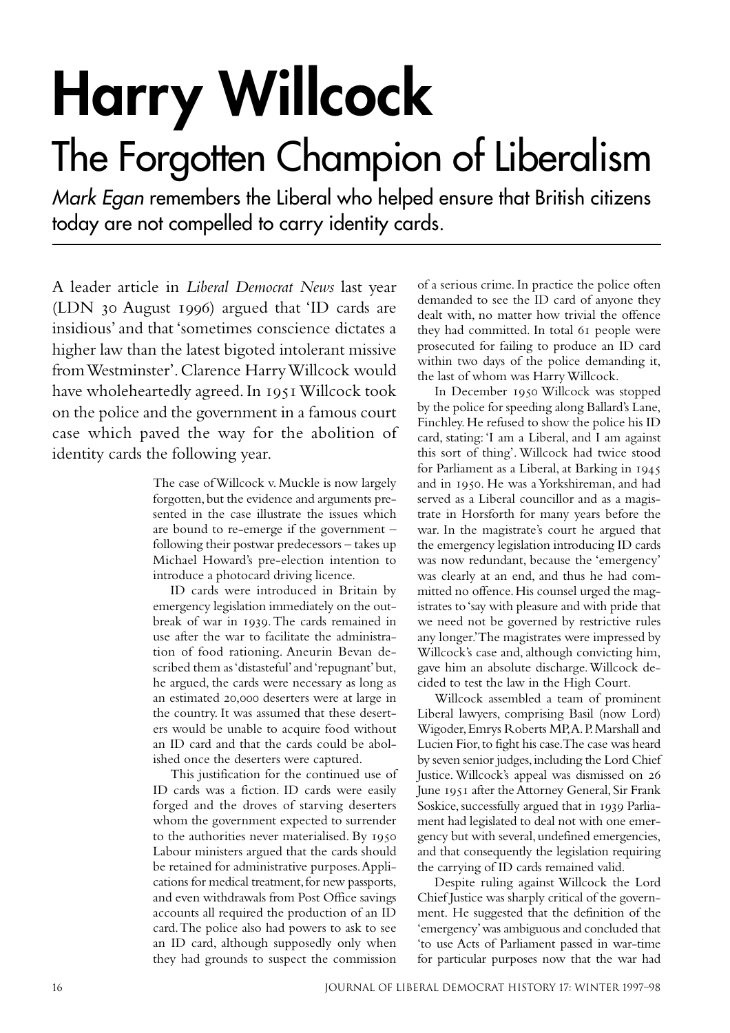## **Harry Willcock**

## The Forgotten Champion of Liberalism

Mark Egan remembers the Liberal who helped ensure that British citizens today are not compelled to carry identity cards.

A leader article in *Liberal Democrat News* last year  $(LDN$  30 August 1996) argued that 'ID cards are insidious' and that 'sometimes conscience dictates a higher law than the latest bigoted intolerant missive from Westminster'. Clarence Harry Willcock would have wholeheartedly agreed. In 1951 Willcock took on the police and the government in a famous court case which paved the way for the abolition of identity cards the following year.

> The case of Willcock v. Muckle is now largely forgotten, but the evidence and arguments presented in the case illustrate the issues which are bound to re-emerge if the government – following their postwar predecessors – takes up Michael Howard's pre-election intention to introduce a photocard driving licence.

> ID cards were introduced in Britain by emergency legislation immediately on the outbreak of war in 1939. The cards remained in use after the war to facilitate the administration of food rationing. Aneurin Bevan described them as 'distasteful' and 'repugnant' but, he argued, the cards were necessary as long as an estimated 20,000 deserters were at large in the country. It was assumed that these deserters would be unable to acquire food without an ID card and that the cards could be abolished once the deserters were captured.

> This justification for the continued use of ID cards was a fiction. ID cards were easily forged and the droves of starving deserters whom the government expected to surrender to the authorities never materialised. By Labour ministers argued that the cards should be retained for administrative purposes. Applications for medical treatment, for new passports, and even withdrawals from Post Office savings accounts all required the production of an ID card. The police also had powers to ask to see an ID card, although supposedly only when they had grounds to suspect the commission

of a serious crime. In practice the police often demanded to see the ID card of anyone they dealt with, no matter how trivial the offence they had committed. In total 61 people were prosecuted for failing to produce an ID card within two days of the police demanding it, the last of whom was Harry Willcock.

In December 1950 Willcock was stopped by the police for speeding along Ballard's Lane, Finchley. He refused to show the police his ID card, stating: 'I am a Liberal, and I am against this sort of thing'. Willcock had twice stood for Parliament as a Liberal, at Barking in and in 1950. He was a Yorkshireman, and had served as a Liberal councillor and as a magistrate in Horsforth for many years before the war. In the magistrate's court he argued that the emergency legislation introducing ID cards was now redundant, because the 'emergency' was clearly at an end, and thus he had committed no offence. His counsel urged the magistrates to 'say with pleasure and with pride that we need not be governed by restrictive rules any longer.' The magistrates were impressed by Willcock's case and, although convicting him, gave him an absolute discharge. Willcock decided to test the law in the High Court.

Willcock assembled a team of prominent Liberal lawyers, comprising Basil (now Lord) Wigoder, Emrys Roberts MP, A. P. Marshall and Lucien Fior, to fight his case. The case was heard by seven senior judges, including the Lord Chief Justice. Willcock's appeal was dismissed on 26 June 1951 after the Attorney General, Sir Frank Soskice, successfully argued that in 1939 Parliament had legislated to deal not with one emergency but with several, undefined emergencies, and that consequently the legislation requiring the carrying of ID cards remained valid.

Despite ruling against Willcock the Lord Chief Justice was sharply critical of the government. He suggested that the definition of the 'emergency' was ambiguous and concluded that 'to use Acts of Parliament passed in war-time for particular purposes now that the war had